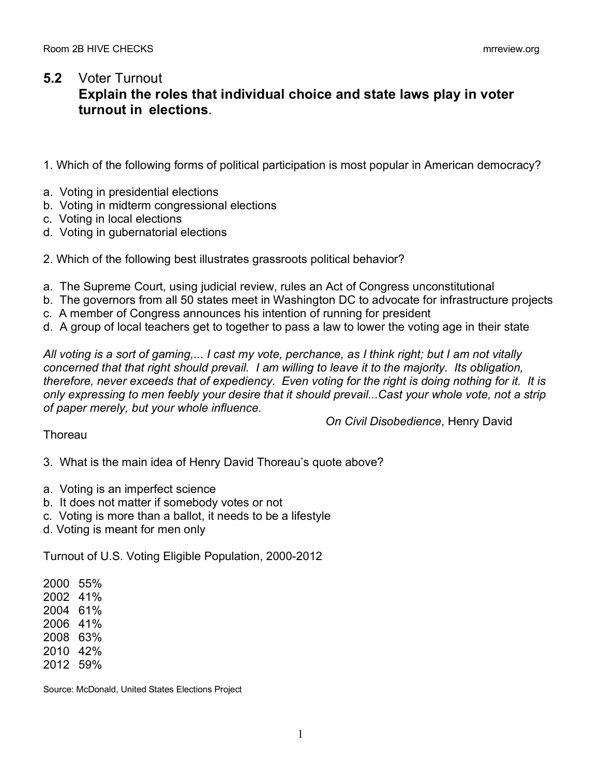## **5.2** Voter Turnout **Explain the roles that individual choice and state laws play in voter turnout in elections**.

- 1. Which of the following forms of political participation is most popular in American democracy?
- a. Voting in presidential elections
- b. Voting in midterm congressional elections
- c. Voting in local elections
- d. Voting in gubernatorial elections
- 2. Which of the following best illustrates grassroots political behavior?
- a. The Supreme Court, using judicial review, rules an Act of Congress unconstitutional
- b. The governors from all 50 states meet in Washington DC to advocate for infrastructure projects
- c. A member of Congress announces his intention of running for president
- d. A group of local teachers get to together to pass a law to lower the voting age in their state

*All voting is a sort of gaming,... I cast my vote, perchance, as I think right; but I am not vitally concerned that that right should prevail. I am willing to leave it to the majority. Its obligation, therefore, never exceeds that of expediency. Even voting for the right is doing nothing for it. It is only expressing to men feebly your desire that it should prevail...Cast your whole vote, not a strip of paper merely, but your whole influence.*

*On Civil Disobedience*, Henry David

## **Thoreau**

3. What is the main idea of Henry David Thoreau's quote above?

- a. Voting is an imperfect science
- b. It does not matter if somebody votes or not
- c. Voting is more than a ballot, it needs to be a lifestyle
- d. Voting is meant for men only

Turnout of U.S. Voting Eligible Population, 2000-2012

2000 55%

- 2002 41%
- 2004 61%
- 2006 41%
- 2008 63%
- 2010 42%
- 2012 59%

Source: McDonald, United States Elections Project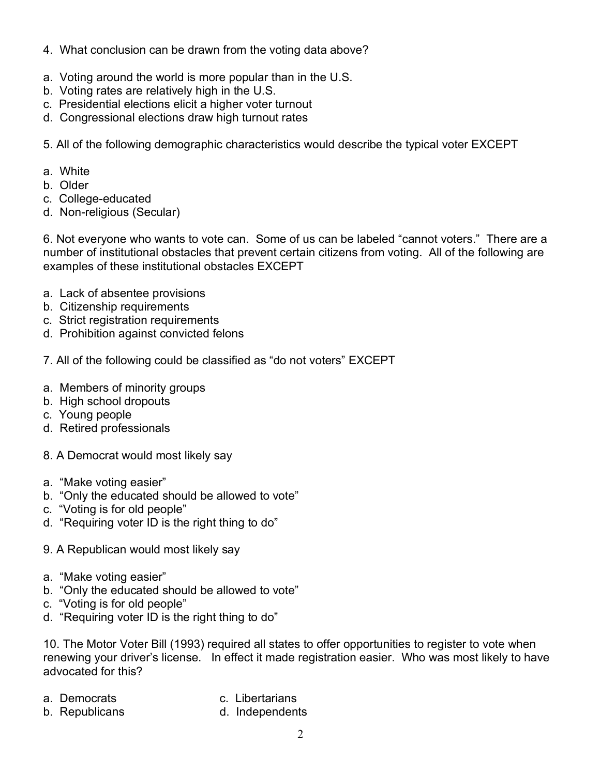- 4. What conclusion can be drawn from the voting data above?
- a. Voting around the world is more popular than in the U.S.
- b. Voting rates are relatively high in the U.S.
- c. Presidential elections elicit a higher voter turnout
- d. Congressional elections draw high turnout rates

5. All of the following demographic characteristics would describe the typical voter EXCEPT

- a. White
- b. Older
- c. College-educated
- d. Non-religious (Secular)

6. Not everyone who wants to vote can. Some of us can be labeled "cannot voters." There are a number of institutional obstacles that prevent certain citizens from voting. All of the following are examples of these institutional obstacles EXCEPT

- a. Lack of absentee provisions
- b. Citizenship requirements
- c. Strict registration requirements
- d. Prohibition against convicted felons
- 7. All of the following could be classified as "do not voters" EXCEPT
- a. Members of minority groups
- b. High school dropouts
- c. Young people
- d. Retired professionals
- 8. A Democrat would most likely say
- a. "Make voting easier"
- b. "Only the educated should be allowed to vote"
- c. "Voting is for old people"
- d. "Requiring voter ID is the right thing to do"
- 9. A Republican would most likely say
- a. "Make voting easier"
- b. "Only the educated should be allowed to vote"
- c. "Voting is for old people"
- d. "Requiring voter ID is the right thing to do"

10. The Motor Voter Bill (1993) required all states to offer opportunities to register to vote when renewing your driver's license. In effect it made registration easier. Who was most likely to have advocated for this?

- 
- a. Democrats c. Libertarians
- b. Republicans and d. Independents